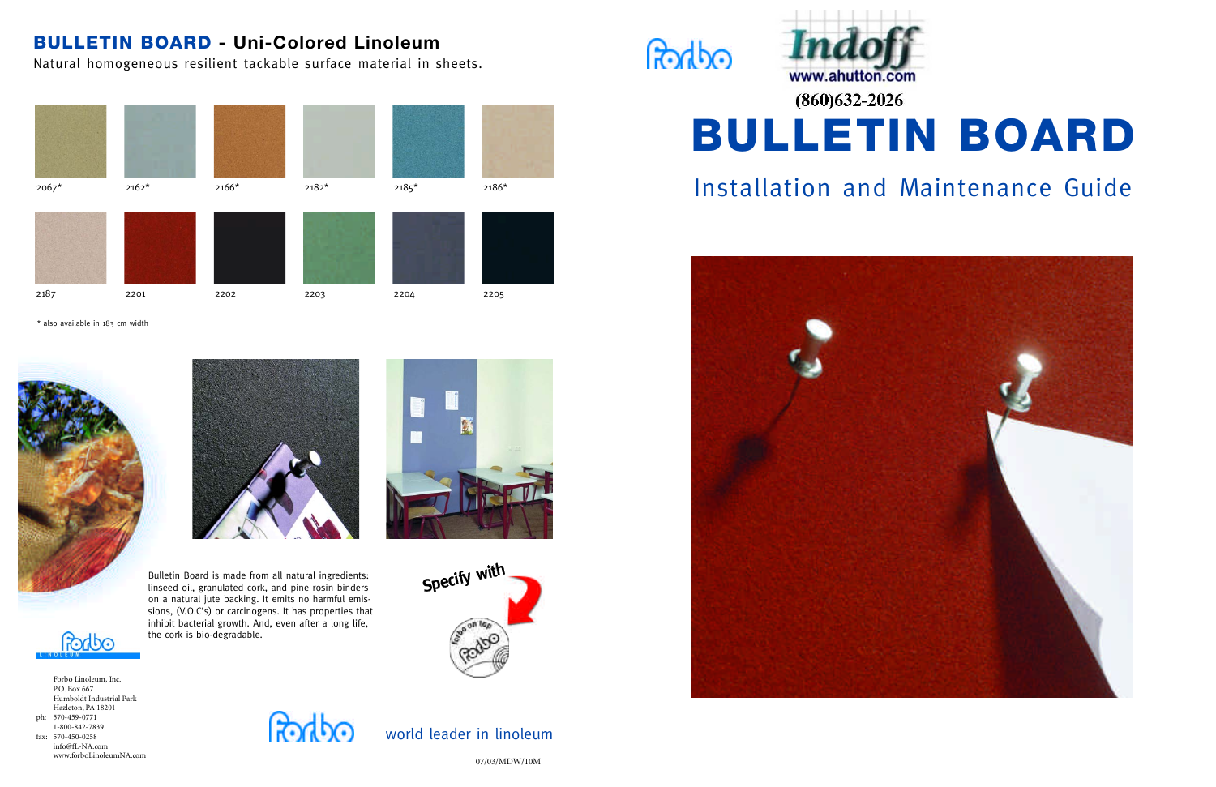# BULLETIN BOARD **- Uni-Colored Linoleum**

Natural homogeneous resilient tackable surface material in sheets.

07/03/MDW/10M









world leader in linoleum





त्रके रि

info@fL-NA.com www.forboLinoleumNA.com







\* also available in 183 cm width





Bulletin Board is made from all natural ingredients: linseed oil, granulated cork, and pine rosin binders on a natural jute backing. It emits no harmful emissions, (V.O.C's) or carcinogens. It has properties that inhibit bacterial growth. And, even after a long life, the cork is bio-degradable.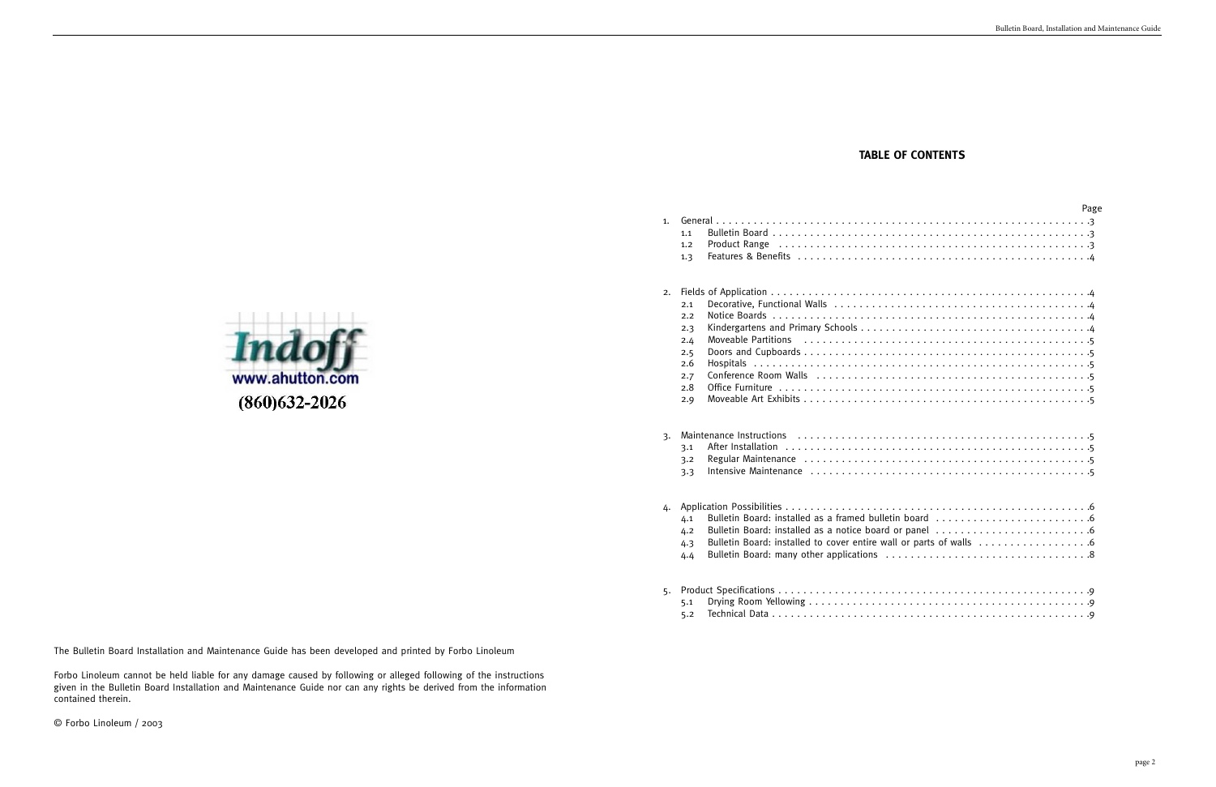The Bulletin Board Installation and Maintenance Guide has been developed and printed by Forbo Linoleum

Forbo Linoleum cannot be held liable for any damage caused by following or alleged following of the instructions given in the Bulletin Board Installation and Maintenance Guide nor can any rights be derived from the information contained therein.

© Forbo Linoleum / 2003

# **TABLE OF CONTENTS**

|    |                                                                                                                      | Page |
|----|----------------------------------------------------------------------------------------------------------------------|------|
| 1. |                                                                                                                      |      |
|    | 1.1                                                                                                                  |      |
|    | 1.2                                                                                                                  |      |
|    | 1.3                                                                                                                  |      |
| 2. |                                                                                                                      |      |
|    | 2.1                                                                                                                  |      |
|    | 2.2                                                                                                                  |      |
|    | 2.3                                                                                                                  |      |
|    | Moveable Partitions (all contains) and the control of the Moveable Partitions (all control of the Movement of<br>2.4 |      |
|    | 2.5                                                                                                                  |      |
|    | 2.6                                                                                                                  |      |
|    | 2.7<br>2.8                                                                                                           |      |
|    | 2.9                                                                                                                  |      |
|    |                                                                                                                      |      |
| 3. |                                                                                                                      |      |
|    | 3.1                                                                                                                  |      |
|    | 3.2                                                                                                                  |      |
|    | 3.3                                                                                                                  |      |
|    |                                                                                                                      |      |
| 4. |                                                                                                                      |      |
|    | 4.1                                                                                                                  |      |
|    | 4.2                                                                                                                  |      |
|    | 4.3                                                                                                                  |      |
|    | 4.4                                                                                                                  |      |
| 5. |                                                                                                                      |      |
|    | 5.1                                                                                                                  |      |
|    | 5.2                                                                                                                  |      |

|    | 1.1<br>1.2<br>1.3                                           |  |
|----|-------------------------------------------------------------|--|
| 2. | 2.1<br>2.2<br>2.3<br>2.4<br>2.5<br>2.6<br>2.7<br>2.8<br>2.9 |  |
| 3. | 3.1<br>3.2<br>3.3                                           |  |
| 4. | 4.1<br>4.2<br>4.3<br>4.4                                    |  |
| 5. | 5.1<br>5.2                                                  |  |

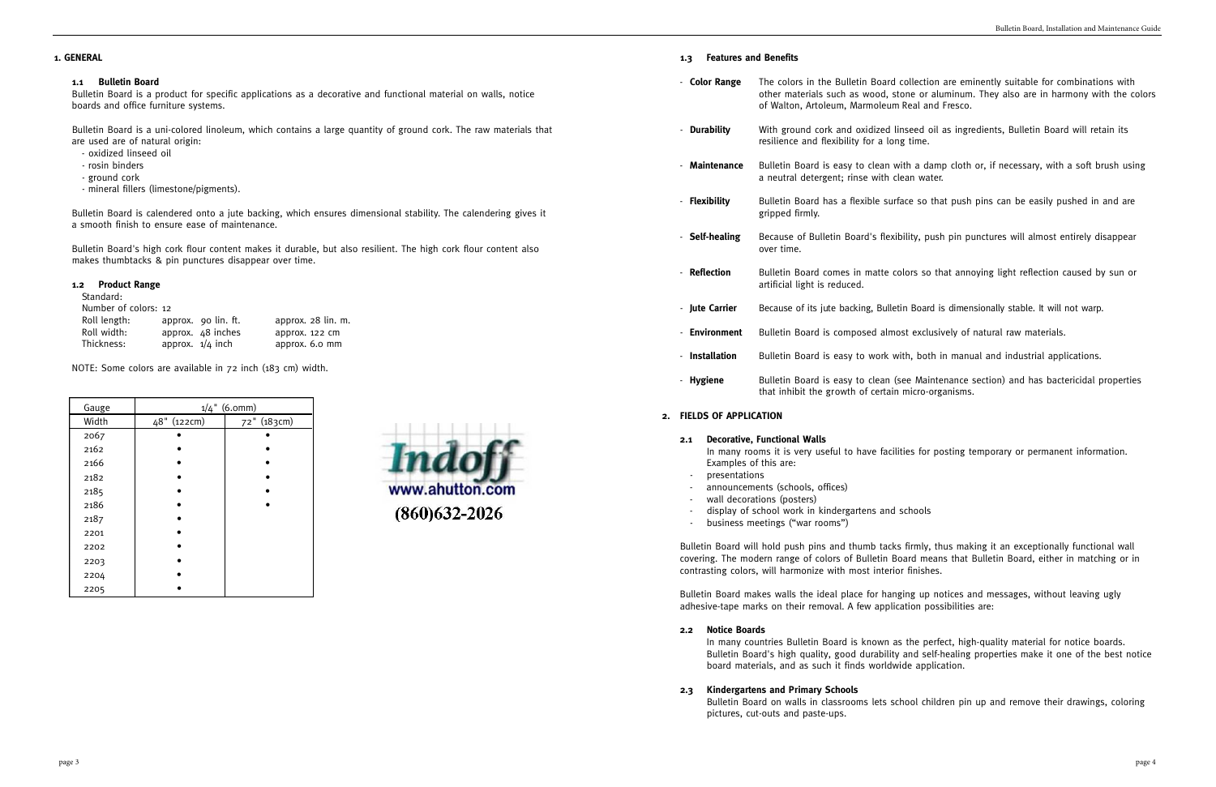# **1. GENERAL**

# **1.1 Bulletin Board**

Bulletin Board is a product for specific applications as a decorative and functional material on walls, notice boards and office furniture systems.

Bulletin Board is a uni-colored linoleum, which contains a large quantity of ground cork. The raw materials that are used are of natural origin:

- oxidized linseed oil
- rosin binders
- ground cork
- mineral fillers (limestone/pigments).

Bulletin Board is calendered onto a jute backing, which ensures dimensional stability. The calendering gives it a smooth finish to ensure ease of maintenance.

Bulletin Board's high cork flour content makes it durable, but also resilient. The high cork flour content also makes thumbtacks & pin punctures disappear over time.

# **1.2 Product Range**

# Standard:

|                      |                                                                | approx. 28 lin. m. |
|----------------------|----------------------------------------------------------------|--------------------|
|                      |                                                                |                    |
|                      |                                                                | approx. 6.0 mm     |
| Number of colors: 12 | approx. 90 lin. ft.<br>approx. 48 inches<br>approx. $1/4$ inch | approx. 122 cm     |

NOTE: Some colors are available in 72 inch (183 cm) width.

| Gauge | $1/4$ " (6.0mm) |             |  |
|-------|-----------------|-------------|--|
| Width | 48" (122cm)     | 72" (183cm) |  |
| 2067  |                 |             |  |
| 2162  |                 |             |  |
| 2166  |                 |             |  |
| 2182  |                 |             |  |
| 2185  |                 |             |  |
| 2186  |                 |             |  |
| 2187  |                 |             |  |
| 2201  |                 |             |  |
| 2202  |                 |             |  |
| 2203  |                 |             |  |
| 2204  |                 |             |  |
| 2205  |                 |             |  |



#### **1.3 Features and Benefits**

- In many rooms it is very useful to have facilities for posting temporary or permanent information. Examples of this are:
- presentations
- announcements (schools, offices)
- wall decorations (posters)
- display of school work in kindergartens and schools
- business meetings ("war rooms")

- **Flexibility** Bulletin Board has a flexible surface so that push pins can be easily pushed in and are

- **Color Range** The colors in the Bulletin Board collection are eminently suitable for combinations with other materials such as wood, stone or aluminum. They also are in harmony with the colors of Walton, Artoleum, Marmoleum Real and Fresco. - **Durability** With ground cork and oxidized linseed oil as ingredients, Bulletin Board will retain its resilience and flexibility for a long time. - **Maintenance** Bulletin Board is easy to clean with a damp cloth or, if necessary, with a soft brush using a neutral detergent; rinse with clean water.
	- gripped firmly.
- **Self-healing** Because of Bulletin Board's flexibility, push pin punctures will almost entirely disappear over time.
- **Reflection** Bulletin Board comes in matte colors so that annoying light reflection caused by sun or artificial light is reduced.
- **Jute Carrier** Because of its jute backing, Bulletin Board is dimensionally stable. It will not warp.
- **Environment** Bulletin Board is composed almost exclusively of natural raw materials.
- **Installation** Bulletin Board is easy to work with, both in manual and industrial applications.
	- that inhibit the growth of certain micro-organisms.

- **Hygiene** Bulletin Board is easy to clean (see Maintenance section) and has bactericidal properties

# **2. FIELDS OF APPLICATION**

#### **2.1 Decorative, Functional Walls**

contrasting colors, will harmonize with most interior finishes.

adhesive-tape marks on their removal. A few application possibilities are:

- 
- Bulletin Board will hold push pins and thumb tacks firmly, thus making it an exceptionally functional wall covering. The modern range of colors of Bulletin Board means that Bulletin Board, either in matching or in
- Bulletin Board makes walls the ideal place for hanging up notices and messages, without leaving ugly
	- In many countries Bulletin Board is known as the perfect, high-quality material for notice boards. Bulletin Board's high quality, good durability and self-healing properties make it one of the best notice
	- Bulletin Board on walls in classrooms lets school children pin up and remove their drawings, coloring

#### **2.2 Notice Boards**

board materials, and as such it finds worldwide application.

**2.3 Kindergartens and Primary Schools**

pictures, cut-outs and paste-ups.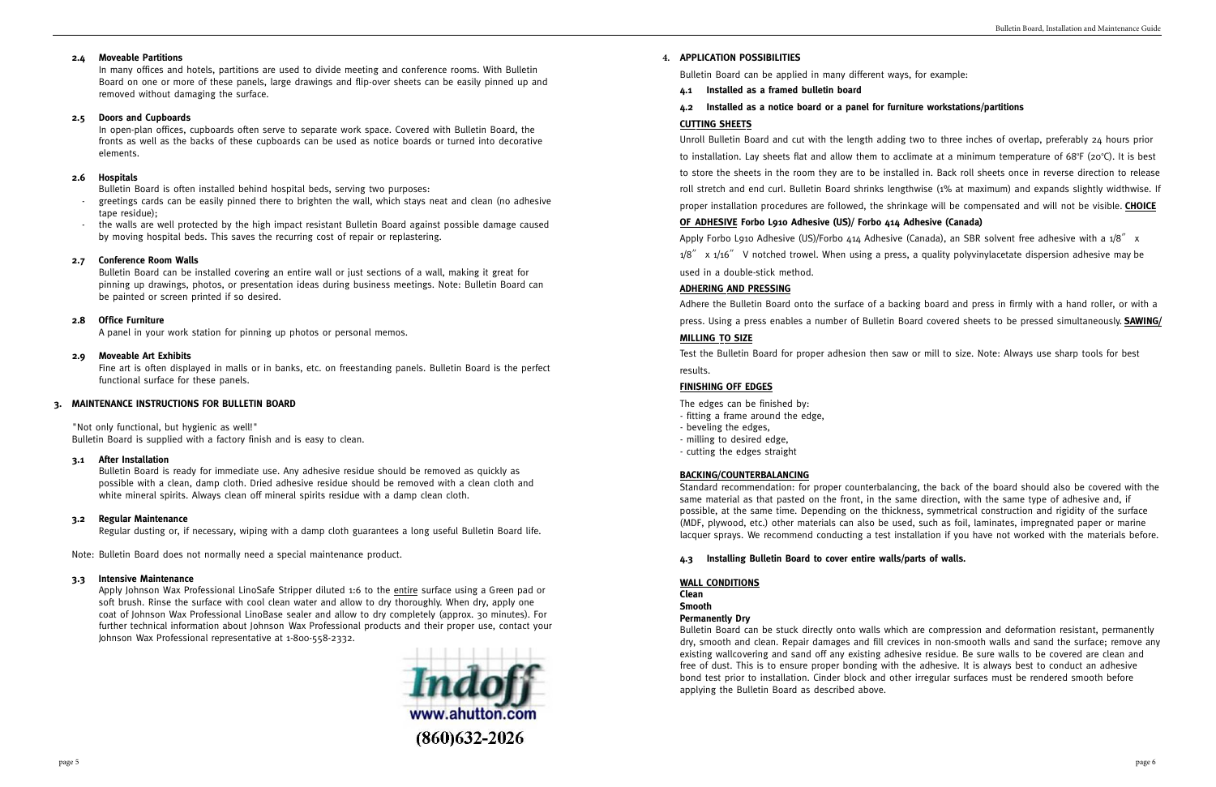#### **2.4 Moveable Partitions**

In many offices and hotels, partitions are used to divide meeting and conference rooms. With Bulletin Board on one or more of these panels, large drawings and flip-over sheets can be easily pinned up and removed without damaging the surface.

#### **2.5 Doors and Cupboards**

In open-plan offices, cupboards often serve to separate work space. Covered with Bulletin Board, the fronts as well as the backs of these cupboards can be used as notice boards or turned into decorative elements.

- greetings cards can be easily pinned there to brighten the wall, which stays neat and clean (no adhesive tape residue);
- the walls are well protected by the high impact resistant Bulletin Board against possible damage caused by moving hospital beds. This saves the recurring cost of repair or replastering.

#### **2.6 Hospitals**

Bulletin Board is often installed behind hospital beds, serving two purposes:

#### **2.7 Conference Room Walls**

Bulletin Board can be installed covering an entire wall or just sections of a wall, making it great for pinning up drawings, photos, or presentation ideas during business meetings. Note: Bulletin Board can be painted or screen printed if so desired.

#### **2.8 Office Furniture**

A panel in your work station for pinning up photos or personal memos.

Apply Johnson Wax Professional LinoSafe Stripper diluted 1:6 to the entire surface using a Green pad or soft brush. Rinse the surface with cool clean water and allow to dry thoroughly. When dry, apply one coat of Johnson Wax Professional LinoBase sealer and allow to dry completely (approx. 30 minutes). For further technical information about Johnson Wax Professional products and their proper use, contact your Johnson Wax Professional representative at 1-800-558-2332.



#### **2.9 Moveable Art Exhibits**

Fine art is often displayed in malls or in banks, etc. on freestanding panels. Bulletin Board is the perfect functional surface for these panels.

### **3. MAINTENANCE INSTRUCTIONS FOR BULLETIN BOARD**

"Not only functional, but hygienic as well!" Bulletin Board is supplied with a factory finish and is easy to clean.

#### **3.1 After Installation**

Bulletin Board is ready for immediate use. Any adhesive residue should be removed as quickly as possible with a clean, damp cloth. Dried adhesive residue should be removed with a clean cloth and white mineral spirits. Always clean off mineral spirits residue with a damp clean cloth.

#### **3.2 Regular Maintenance**

Regular dusting or, if necessary, wiping with a damp cloth guarantees a long useful Bulletin Board life.

Note: Bulletin Board does not normally need a special maintenance product.

#### **3.3 Intensive Maintenance**

### **4. APPLICATION POSSIBILITIES**

Bulletin Board can be applied in many different ways, for example:

**4.1 Installed as a framed bulletin board**

# **4.2 Installed as a notice board or a panel for furniture workstations/partitions CUTTING SHEETS**

Unroll Bulletin Board and cut with the length adding two to three inches of overlap, preferably 24 hours prior to installation. Lay sheets flat and allow them to acclimate at a minimum temperature of 68°F (20°C). It is best to store the sheets in the room they are to be installed in. Back roll sheets once in reverse direction to release roll stretch and end curl. Bulletin Board shrinks lengthwise (1% at maximum) and expands slightly widthwise. If proper installation procedures are followed, the shrinkage will be compensated and will not be visible. **CHOICE** 

# **OF ADHESIVE Forbo L910 Adhesive (US)/ Forbo 414 Adhesive (Canada)**

Apply Forbo L910 Adhesive (US)/Forbo 414 Adhesive (Canada), an SBR solvent free adhesive with a 1/8″ x  $1/8''$  x  $1/16''$  V notched trowel. When using a press, a quality polyvinylacetate dispersion adhesive may be used in a double-stick method.

#### **ADHERING AND PRESSING**

Adhere the Bulletin Board onto the surface of a backing board and press in firmly with a hand roller, or with a press. Using a press enables a number of Bulletin Board covered sheets to be pressed simultaneously. **SAWING/**

#### **MILLING TO SIZE**

Test the Bulletin Board for proper adhesion then saw or mill to size. Note: Always use sharp tools for best results.

#### **FINISHING OFF EDGES**

The edges can be finished by:

- fitting a frame around the edge,
- beveling the edges,
- milling to desired edge,
- cutting the edges straight

#### **BACKING/COUNTERBALANCING**

Standard recommendation: for proper counterbalancing, the back of the board should also be covered with the same material as that pasted on the front, in the same direction, with the same type of adhesive and, if possible, at the same time. Depending on the thickness, symmetrical construction and rigidity of the surface (MDF, plywood, etc.) other materials can also be used, such as foil, laminates, impregnated paper or marine lacquer sprays. We recommend conducting a test installation if you have not worked with the materials before.

# **4.3 Installing Bulletin Board to cover entire walls/parts of walls.**

#### **WALL CONDITIONS**

**Clean**

#### **Smooth Permanently Dry**

Bulletin Board can be stuck directly onto walls which are compression and deformation resistant, permanently dry, smooth and clean. Repair damages and fill crevices in non-smooth walls and sand the surface; remove any existing wallcovering and sand off any existing adhesive residue. Be sure walls to be covered are clean and free of dust. This is to ensure proper bonding with the adhesive. It is always best to conduct an adhesive bond test prior to installation. Cinder block and other irregular surfaces must be rendered smooth before applying the Bulletin Board as described above.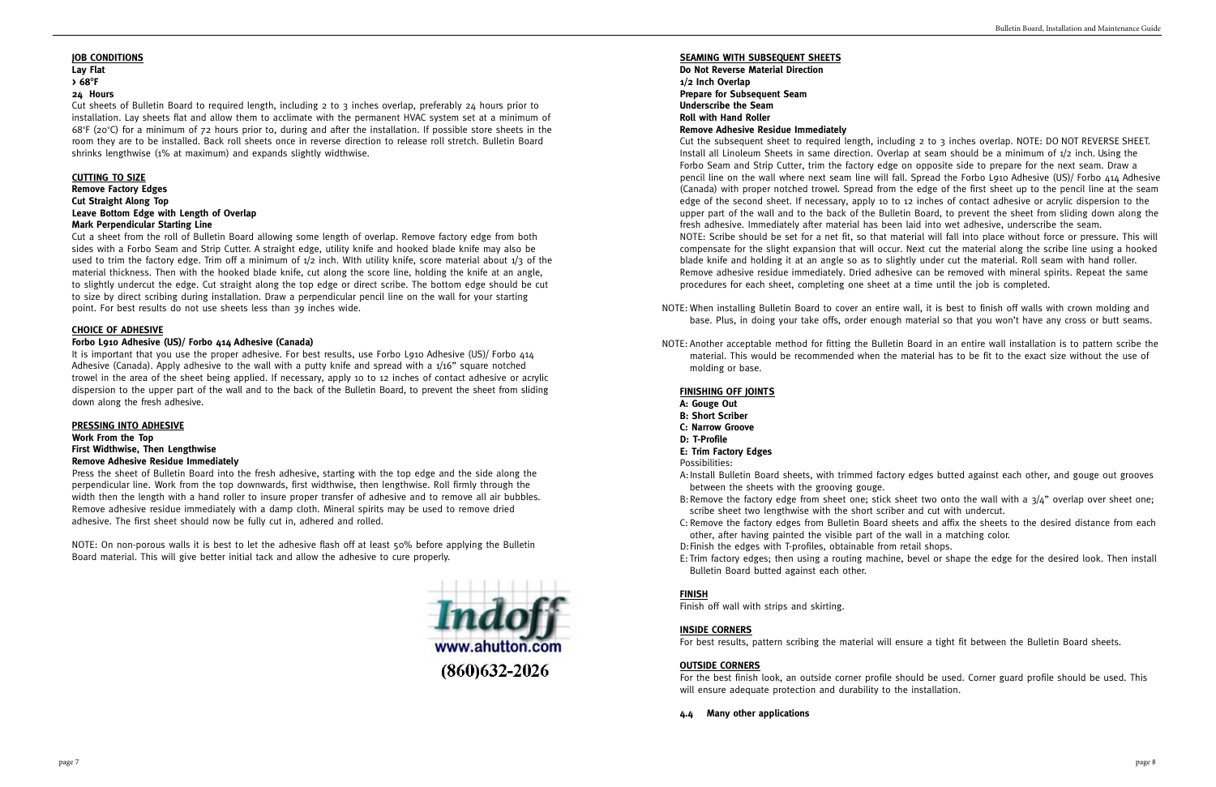#### **JOB CONDITIONS Lay Flat**

# **> 68<sup>O</sup> F**

### **24 Hours**

Cut sheets of Bulletin Board to required length, including 2 to 3 inches overlap, preferably 24 hours prior to installation. Lay sheets flat and allow them to acclimate with the permanent HVAC system set at a minimum of 68°F (20°C) for a minimum of 72 hours prior to, during and after the installation. If possible store sheets in the room they are to be installed. Back roll sheets once in reverse direction to release roll stretch. Bulletin Board shrinks lengthwise (1% at maximum) and expands slightly widthwise.

#### **CUTTING TO SIZE Remove Factory Edges Cut Straight Along Top Leave Bottom Edge with Length of Overlap Mark Perpendicular Starting Line**

It is important that you use the proper adhesive. For best results, use Forbo L910 Adhesive (US)/ Forbo 414 Adhesive (Canada). Apply adhesive to the wall with a putty knife and spread with a 1/16" square notched trowel in the area of the sheet being applied. If necessary, apply 10 to 12 inches of contact adhesive or acrylic dispersion to the upper part of the wall and to the back of the Bulletin Board, to prevent the sheet from sliding down along the fresh adhesive.

Cut a sheet from the roll of Bulletin Board allowing some length of overlap. Remove factory edge from both sides with a Forbo Seam and Strip Cutter. A straight edge, utility knife and hooked blade knife may also be used to trim the factory edge. Trim off a minimum of  $1/2$  inch. With utility knife, score material about  $1/3$  of the material thickness. Then with the hooked blade knife, cut along the score line, holding the knife at an angle, to slightly undercut the edge. Cut straight along the top edge or direct scribe. The bottom edge should be cut to size by direct scribing during installation. Draw a perpendicular pencil line on the wall for your starting point. For best results do not use sheets less than 39 inches wide.

# **CHOICE OF ADHESIVE**

### **Forbo L910 Adhesive (US)/ Forbo 414 Adhesive (Canada)**

#### **PRESSING INTO ADHESIVE**

# **Work From the Top First Widthwise, Then Lengthwise Remove Adhesive Residue Immediately**

Press the sheet of Bulletin Board into the fresh adhesive, starting with the top edge and the side along the perpendicular line. Work from the top downwards, first widthwise, then lengthwise. Roll firmly through the width then the length with a hand roller to insure proper transfer of adhesive and to remove all air bubbles. Remove adhesive residue immediately with a damp cloth. Mineral spirits may be used to remove dried adhesive. The first sheet should now be fully cut in, adhered and rolled.

NOTE: On non-porous walls it is best to let the adhesive flash off at least 50% before applying the Bulletin Board material. This will give better initial tack and allow the adhesive to cure properly.



### **SEAMING WITH SUBSEQUENT SHEETS**

**Do Not Reverse Material Direction 1/2 Inch Overlap Prepare for Subsequent Seam Underscribe the Seam Roll with Hand Roller Remove Adhesive Residue Immediately**

Cut the subsequent sheet to required length, including 2 to 3 inches overlap. NOTE: DO NOT REVERSE SHEET. Install all Linoleum Sheets in same direction. Overlap at seam should be a minimum of 1/2 inch. Using the Forbo Seam and Strip Cutter, trim the factory edge on opposite side to prepare for the next seam. Draw a pencil line on the wall where next seam line will fall. Spread the Forbo L910 Adhesive (US)/ Forbo 414 Adhesive (Canada) with proper notched trowel. Spread from the edge of the first sheet up to the pencil line at the seam edge of the second sheet. If necessary, apply 10 to 12 inches of contact adhesive or acrylic dispersion to the upper part of the wall and to the back of the Bulletin Board, to prevent the sheet from sliding down along the fresh adhesive. Immediately after material has been laid into wet adhesive, underscribe the seam. NOTE: Scribe should be set for a net fit, so that material will fall into place without force or pressure. This will compensate for the slight expansion that will occur. Next cut the material along the scribe line using a hooked blade knife and holding it at an angle so as to slightly under cut the material. Roll seam with hand roller. Remove adhesive residue immediately. Dried adhesive can be removed with mineral spirits. Repeat the same procedures for each sheet, completing one sheet at a time until the job is completed.

NOTE: When installing Bulletin Board to cover an entire wall, it is best to finish off walls with crown molding and base. Plus, in doing your take offs, order enough material so that you won't have any cross or butt seams.

NOTE: Another acceptable method for fitting the Bulletin Board in an entire wall installation is to pattern scribe the material. This would be recommended when the material has to be fit to the exact size without the use of

- 
- molding or base.

#### **FINISHING OFF JOINTS**

- **A: Gouge Out**
- **B: Short Scriber**
- **C: Narrow Groove**
- **D: T-Profile**
- **E: Trim Factory Edges**

#### Possibilities:

A:Install Bulletin Board sheets, with trimmed factory edges butted against each other, and gouge out grooves

B: Remove the factory edge from sheet one; stick sheet two onto the wall with a  $3/4$ " overlap over sheet one;

C: Remove the factory edges from Bulletin Board sheets and affix the sheets to the desired distance from each

- between the sheets with the grooving gouge.
- scribe sheet two lengthwise with the short scriber and cut with undercut.
- other, after having painted the visible part of the wall in a matching color.
- D:Finish the edges with T-profiles, obtainable from retail shops.
- Bulletin Board butted against each other.

E: Trim factory edges; then using a routing machine, bevel or shape the edge for the desired look. Then install

### **FINISH**

Finish off wall with strips and skirting.

# **INSIDE CORNERS**

For best results, pattern scribing the material will ensure a tight fit between the Bulletin Board sheets.

# **OUTSIDE CORNERS**

For the best finish look, an outside corner profile should be used. Corner guard profile should be used. This will ensure adequate protection and durability to the installation.

**4.4 Many other applications**